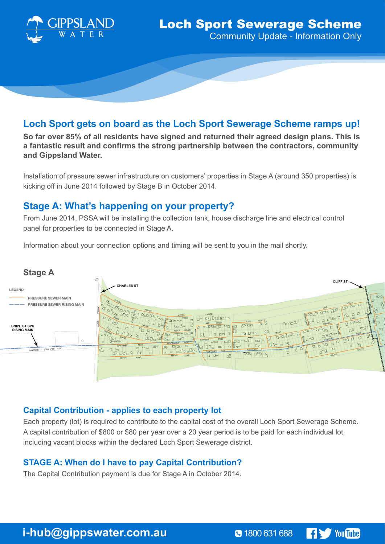

# **Loch Sport gets on board as the Loch Sport Sewerage Scheme ramps up!**

**So far over 85% of all residents have signed and returned their agreed design plans. This is a fantastic result and confirms the strong partnership between the contractors, community and Gippsland Water.** 

Installation of pressure sewer infrastructure on customers' properties in Stage A (around 350 properties) is kicking off in June 2014 followed by Stage B in October 2014.

## **Stage A: What's happening on your property?**

From June 2014, PSSA will be installing the collection tank, house discharge line and electrical control panel for properties to be connected in Stage A.

Information about your connection options and timing will be sent to you in the mail shortly.



## **Capital Contribution - applies to each property lot**

Each property (lot) is required to contribute to the capital cost of the overall Loch Sport Sewerage Scheme. A capital contribution of \$800 or \$80 per year over a 20 year period is to be paid for each individual lot, including vacant blocks within the declared Loch Sport Sewerage district.

## **STAGE A: When do I have to pay Capital Contribution?**

The Capital Contribution payment is due for Stage A in October 2014.